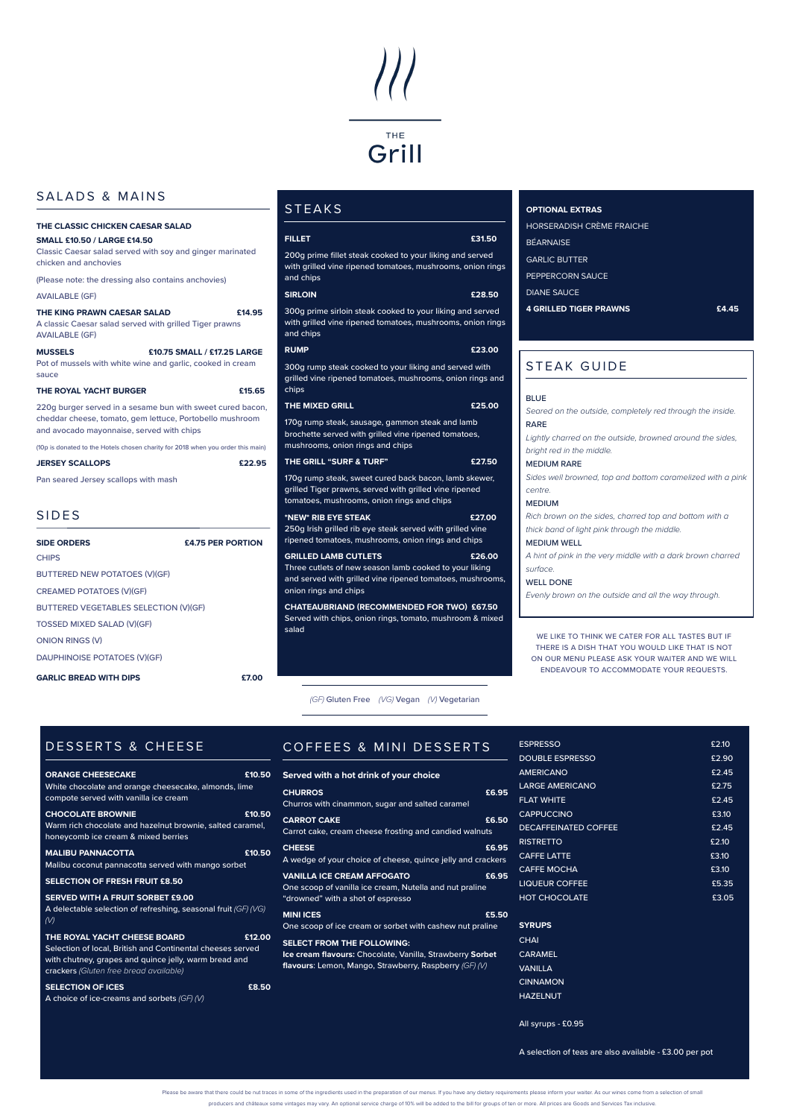# THE Grill

# SALADS & MAINS

# STEAK GUIDE

| <b>BLUE</b>                                                 |
|-------------------------------------------------------------|
| Seared on the outside, completely red through the inside.   |
| <b>RARE</b>                                                 |
| Lightly charred on the outside, browned around the sides,   |
| bright red in the middle.                                   |
| <b>MEDIUM RARE</b>                                          |
| Sides well browned, top and bottom caramelized with a pink  |
| centre.                                                     |
| <b>MEDIUM</b>                                               |
| Rich brown on the sides, charred top and bottom with a      |
| thick band of light pink through the middle.                |
| <b>MEDIUM WELL</b>                                          |
| A hint of pink in the very middle with a dark brown charred |
| surface.                                                    |
| <b>WELL DONE</b>                                            |
| Evenly brown on the outside and all the way through.        |
|                                                             |
|                                                             |
|                                                             |

|                                                                                                                                                                     | THE CLASSIC CHICKEN CAESAR SALAD |  |  |  |  |  |  |  |
|---------------------------------------------------------------------------------------------------------------------------------------------------------------------|----------------------------------|--|--|--|--|--|--|--|
| <b>SMALL £10.50 / LARGE £14.50</b><br>Classic Caesar salad served with soy and ginger marinated<br>chicken and anchovies                                            |                                  |  |  |  |  |  |  |  |
| (Please note: the dressing also contains anchovies)                                                                                                                 |                                  |  |  |  |  |  |  |  |
| <b>AVAILABLE (GF)</b>                                                                                                                                               |                                  |  |  |  |  |  |  |  |
| THE KING PRAWN CAESAR SALAD<br>A classic Caesar salad served with grilled Tiger prawns<br><b>AVAILABLE (GF)</b>                                                     | £14.95                           |  |  |  |  |  |  |  |
| <b>MUSSELS</b><br>Pot of mussels with white wine and garlic, cooked in cream<br>sauce                                                                               | £10.75 SMALL / £17.25 LARGE      |  |  |  |  |  |  |  |
| THE ROYAL YACHT BURGER                                                                                                                                              | £15.65                           |  |  |  |  |  |  |  |
| 220g burger served in a sesame bun with sweet cured bacon,<br>cheddar cheese, tomato, gem lettuce, Portobello mushroom<br>and avocado mayonnaise, served with chips |                                  |  |  |  |  |  |  |  |
| (10p is donated to the Hotels chosen charity for 2018 when you order this main)                                                                                     |                                  |  |  |  |  |  |  |  |
| <b>JERSEY SCALLOPS</b>                                                                                                                                              | £22.95                           |  |  |  |  |  |  |  |
| Pan seared Jersey scallops with mash                                                                                                                                |                                  |  |  |  |  |  |  |  |
| <b>SIDES</b>                                                                                                                                                        |                                  |  |  |  |  |  |  |  |
| <b>SIDE ORDERS</b>                                                                                                                                                  | £4.75 PER PORTION                |  |  |  |  |  |  |  |
| <b>CHIPS</b>                                                                                                                                                        |                                  |  |  |  |  |  |  |  |
| BUTTERED NEW POTATOES (V)(GF)                                                                                                                                       |                                  |  |  |  |  |  |  |  |
| <b>CREAMED POTATOES (V)(GF)</b>                                                                                                                                     |                                  |  |  |  |  |  |  |  |
| BUTTERED VEGETABLES SELECTION (V)(GF)                                                                                                                               |                                  |  |  |  |  |  |  |  |
| TOSSED MIXED SALAD (V)(GF)                                                                                                                                          |                                  |  |  |  |  |  |  |  |
| <b>ONION RINGS (V)</b>                                                                                                                                              |                                  |  |  |  |  |  |  |  |

# DESSERTS & CHEESE

| <b>ORANGE CHEESECAKE</b>                                     | £10. |
|--------------------------------------------------------------|------|
| <u>White chocola</u> te and orange cheesecake, almonds, lime |      |
| compote served with vanilla ice cream                        |      |

DAUPHINOISE POTATOES (V)(GF)

GARLIC BREAD WITH DIPS **ET.00** 

*(GF)* Gluten Free *(VG)* Vegan *(V)* Vegetarian

|                                                                                                 |                                                                                                                     |       | <b>ESPRESSO</b>                                        | £2.10 |
|-------------------------------------------------------------------------------------------------|---------------------------------------------------------------------------------------------------------------------|-------|--------------------------------------------------------|-------|
| <b>DESSERTS &amp; CHEESE</b>                                                                    | COFFEES & MINI DESSERTS                                                                                             |       |                                                        |       |
|                                                                                                 |                                                                                                                     |       | <b>DOUBLE ESPRESSO</b>                                 | £2.90 |
| <b>ORANGE CHEESECAKE</b><br>£10.50                                                              | Served with a hot drink of your choice                                                                              |       | <b>AMERICANO</b>                                       | £2.45 |
| White chocolate and orange cheesecake, almonds, lime                                            | <b>CHURROS</b>                                                                                                      | £6.95 | <b>LARGE AMERICANO</b>                                 | £2.75 |
| compote served with vanilla ice cream                                                           | Churros with cinammon, sugar and salted caramel                                                                     |       | <b>FLAT WHITE</b>                                      | £2.45 |
| <b>CHOCOLATE BROWNIE</b><br>£10.50                                                              |                                                                                                                     |       | <b>CAPPUCCINO</b>                                      | £3.10 |
| Warm rich chocolate and hazelnut brownie, salted caramel,                                       | <b>CARROT CAKE</b>                                                                                                  | £6.50 | <b>DECAFFEINATED COFFEE</b>                            | £2.45 |
| honeycomb ice cream & mixed berries                                                             | Carrot cake, cream cheese frosting and candied walnuts                                                              |       | <b>RISTRETTO</b>                                       | £2.10 |
| £10.50<br><b>MALIBU PANNACOTTA</b>                                                              | <b>CHEESE</b>                                                                                                       | £6.95 | <b>CAFFE LATTE</b>                                     | £3.10 |
| Malibu coconut pannacotta served with mango sorbet                                              | A wedge of your choice of cheese, quince jelly and crackers                                                         |       | <b>CAFFE MOCHA</b>                                     | £3.10 |
| SELECTION OF FRESH FRUIT £8.50                                                                  | <b>VANILLA ICE CREAM AFFOGATO</b>                                                                                   | £6.95 |                                                        |       |
|                                                                                                 | One scoop of vanilla ice cream, Nutella and nut praline                                                             |       | <b>LIQUEUR COFFEE</b>                                  | £5.35 |
| <b>SERVED WITH A FRUIT SORBET £9.00</b>                                                         | "drowned" with a shot of espresso                                                                                   |       | <b>HOT CHOCOLATE</b>                                   | £3.05 |
| A delectable selection of refreshing, seasonal fruit (GF) (VG)                                  | <b>MINI ICES</b>                                                                                                    | £5.50 |                                                        |       |
| $(\vee)$                                                                                        | One scoop of ice cream or sorbet with cashew nut praline                                                            |       | <b>SYRUPS</b>                                          |       |
| THE ROYAL YACHT CHEESE BOARD<br>£12.00                                                          | <b>SELECT FROM THE FOLLOWING:</b>                                                                                   |       | <b>CHAI</b>                                            |       |
| Selection of local, British and Continental cheeses served                                      | Ice cream flavours: Chocolate, Vanilla, Strawberry Sorbet<br>flavours: Lemon, Mango, Strawberry, Raspberry (GF) (V) |       | <b>CARAMEL</b>                                         |       |
| with chutney, grapes and quince jelly, warm bread and<br>crackers (Gluten free bread available) |                                                                                                                     |       | <b>VANILLA</b>                                         |       |
|                                                                                                 |                                                                                                                     |       | <b>CINNAMON</b>                                        |       |
| <b>SELECTION OF ICES</b><br>£8.50                                                               |                                                                                                                     |       | <b>HAZELNUT</b>                                        |       |
| A choice of ice-creams and sorbets $(GF)/V$                                                     |                                                                                                                     |       |                                                        |       |
|                                                                                                 |                                                                                                                     |       | All syrups - £0.95                                     |       |
|                                                                                                 |                                                                                                                     |       |                                                        |       |
|                                                                                                 |                                                                                                                     |       | A selection of teas are also available - £3.00 per pot |       |

Please be aware that there could be nut traces in some of the ingredients used in the preparation of our menus. If you have any dietary requirements please inform your waiter. As our wines come from a selection of small

producers and châteaux some vintages may vary. An optional service charge of 10% will be added to the bill for groups of ten or more. All prices are Goods and Services Tax inclusive.

| <b>CHOCOLATE BROWNIE</b><br>Warm rich chocolate and hazelnut brownie, salted caramel,<br>honeycomb ice cream & mixed berries                                                                                                                                           | £10.50 | <b>CARROT CAKE</b><br>Carrot cake, cream cheese frosting and candied walnuts                                                                                                                                                                                                  | £6.50          | <b>CAPPUCCINO</b><br><b>DECAFFEINATED COFFEE</b><br><b>RISTRETTO</b>                      |  |
|------------------------------------------------------------------------------------------------------------------------------------------------------------------------------------------------------------------------------------------------------------------------|--------|-------------------------------------------------------------------------------------------------------------------------------------------------------------------------------------------------------------------------------------------------------------------------------|----------------|-------------------------------------------------------------------------------------------|--|
| <b>MALIBU PANNACOTTA</b><br>Malibu coconut pannacotta served with mango sorbet<br><b>SELECTION OF FRESH FRUIT £8.50</b><br>SERVED WITH A FRUIT SORBET £9.00                                                                                                            | £10.50 | <b>CHEESE</b><br>A wedge of your choice of cheese, quince jelly and crackers<br><b>VANILLA ICE CREAM AFFOGATO</b><br>One scoop of vanilla ice cream, Nutella and nut praline                                                                                                  | £6.95<br>£6.95 | <b>CAFFE LATTE</b><br><b>CAFFE MOCHA</b><br><b>LIQUEUR COFFEE</b><br><b>HOT CHOCOLATE</b> |  |
| A delectable selection of refreshing, seasonal fruit (GF) (VG)<br>(V)<br>THE ROYAL YACHT CHEESE BOARD<br>Selection of local, British and Continental cheeses served<br>with chutney, grapes and quince jelly, warm bread and<br>crackers (Gluten free bread available) | £12.00 | "drowned" with a shot of espresso<br><b>MINI ICES</b><br>One scoop of ice cream or sorbet with cashew nut praline<br><b>SELECT FROM THE FOLLOWING:</b><br>Ice cream flavours: Chocolate, Vanilla, Strawberry Sorbet<br>flavours: Lemon, Mango, Strawberry, Raspberry $(GF)/V$ | £5.50          | <b>SYRUPS</b><br><b>CHAI</b><br><b>CARAMEL</b><br><b>VANILLA</b>                          |  |
| <b>SELECTION OF ICES</b><br>A choice of ice-creams and sorbets $(GF)/V$                                                                                                                                                                                                | £8.50  |                                                                                                                                                                                                                                                                               |                | <b>CINNAMON</b><br><b>HAZELNUT</b><br>All syrups - £0.95                                  |  |
|                                                                                                                                                                                                                                                                        |        |                                                                                                                                                                                                                                                                               |                | A selection of teas are also available - £3.00 per pot                                    |  |

| <b>CHURROS</b>                                  |  |  |  |
|-------------------------------------------------|--|--|--|
| Churros with cinammon, sugar and salted caramel |  |  |  |

WE LIKE TO THINK WE CATER FOR ALL TASTES BUT IF THERE IS A DISH THAT YOU WOULD LIKE THAT IS NOT ON OUR MENU PLEASE ASK YOUR WAITER AND WE WILL ENDEAVOUR TO ACCOMMODATE YOUR REQUESTS.

| STEAKS |  |  |  |
|--------|--|--|--|
|        |  |  |  |

| r.<br>- 1<br>ш                                                                                                                                                              |        |
|-----------------------------------------------------------------------------------------------------------------------------------------------------------------------------|--------|
| <b>FILLET</b>                                                                                                                                                               | £31.50 |
| 200g prime fillet steak cooked to your liking and served<br>with grilled vine ripened tomatoes, mushrooms, onion rings<br>and chips                                         |        |
| <b>SIRLOIN</b>                                                                                                                                                              | £28.50 |
| 300g prime sirloin steak cooked to your liking and served<br>with grilled vine ripened tomatoes, mushrooms, onion rings<br>and chips                                        |        |
| <b>RUMP</b>                                                                                                                                                                 | £23.00 |
| 300g rump steak cooked to your liking and served with<br>grilled vine ripened tomatoes, mushrooms, onion rings and<br>chips                                                 |        |
| <b>THE MIXED GRILL</b>                                                                                                                                                      | £25.00 |
| 170g rump steak, sausage, gammon steak and lamb<br>brochette served with grilled vine ripened tomatoes,<br>mushrooms, onion rings and chips                                 |        |
| THE GRILL "SURF & TURF"                                                                                                                                                     | £27.50 |
| 170g rump steak, sweet cured back bacon, lamb skewer,<br>grilled Tiger prawns, served with grilled vine ripened<br>tomatoes, mushrooms, onion rings and chips               |        |
| *NEW* RIB EYE STEAK<br>250g Irish grilled rib eye steak served with grilled vine<br>ripened tomatoes, mushrooms, onion rings and chips                                      | £27.00 |
| <b>GRILLED LAMB CUTLETS</b><br>Three cutlets of new season lamb cooked to your liking<br>and served with grilled vine ripened tomatoes, mushrooms,<br>onion rings and chips | £26.00 |
| CHATEAUBRIAND (RECOMMENDED FOR TWO) £67.50<br>Served with chips, onion rings, tomato, mushroom & mixed<br>salad                                                             |        |

#### **OPTIONAL EXTRAS**

| <b>HORSERADISH CRÈME FRAICHE</b> |
|----------------------------------|
| <b>BÉARNAISE</b>                 |
| <b>GARLIC BUTTER</b>             |
| PEPPERCORN SAUCE                 |
| DIANE SAUCE                      |
| <b>4 GRILLED TIGER PRAWNS</b>    |
|                                  |

#### £4.45